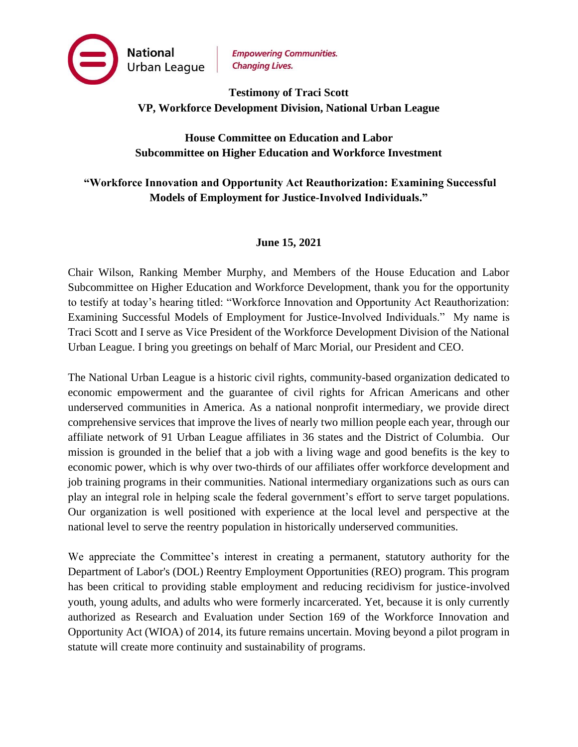

## **Testimony of Traci Scott VP, Workforce Development Division, National Urban League**

## **House Committee on Education and Labor Subcommittee on Higher Education and Workforce Investment**

# **"Workforce Innovation and Opportunity Act Reauthorization: Examining Successful Models of Employment for Justice-Involved Individuals."**

### **June 15, 2021**

Chair Wilson, Ranking Member Murphy, and Members of the House Education and Labor Subcommittee on Higher Education and Workforce Development, thank you for the opportunity to testify at today's hearing titled: "Workforce Innovation and Opportunity Act Reauthorization: Examining Successful Models of Employment for Justice-Involved Individuals." My name is Traci Scott and I serve as Vice President of the Workforce Development Division of the National Urban League. I bring you greetings on behalf of Marc Morial, our President and CEO.

The National Urban League is a historic civil rights, community-based organization dedicated to economic empowerment and the guarantee of civil rights for African Americans and other underserved communities in America. As a national nonprofit intermediary, we provide direct comprehensive services that improve the lives of nearly two million people each year, through our affiliate network of 91 Urban League affiliates in 36 states and the District of Columbia. Our mission is grounded in the belief that a job with a living wage and good benefits is the key to economic power, which is why over two-thirds of our affiliates offer workforce development and job training programs in their communities. National intermediary organizations such as ours can play an integral role in helping scale the federal government's effort to serve target populations. Our organization is well positioned with experience at the local level and perspective at the national level to serve the reentry population in historically underserved communities.

We appreciate the Committee's interest in creating a permanent, statutory authority for the Department of Labor's (DOL) Reentry Employment Opportunities (REO) program. This program has been critical to providing stable employment and reducing recidivism for justice-involved youth, young adults, and adults who were formerly incarcerated. Yet, because it is only currently authorized as Research and Evaluation under Section 169 of the Workforce Innovation and Opportunity Act (WIOA) of 2014, its future remains uncertain. Moving beyond a pilot program in statute will create more continuity and sustainability of programs.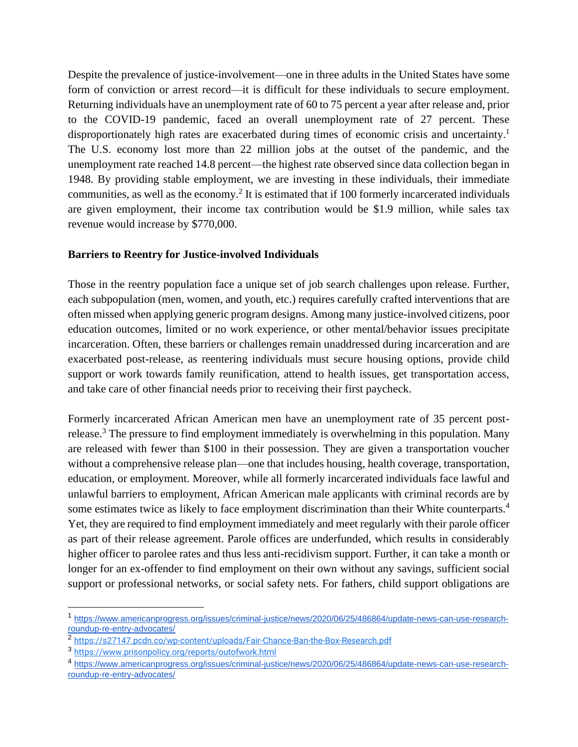Despite the prevalence of justice-involvement—one in three adults in the United States have some form of conviction or arrest record—it is difficult for these individuals to secure employment. Returning individuals have an unemployment rate of 60 to 75 percent a year after release and, prior to the COVID-19 pandemic, faced an overall unemployment rate of 27 percent. These disproportionately high rates are exacerbated during times of economic crisis and uncertainty.<sup>1</sup> The U.S. economy lost more than 22 million jobs at the outset of the pandemic, and the unemployment rate reached 14.8 percent—the highest rate observed since data collection began in 1948. By providing stable employment, we are investing in these individuals, their immediate communities, as well as the economy.<sup>2</sup> It is estimated that if 100 formerly incarcerated individuals are given employment, their income tax contribution would be \$1.9 million, while sales tax revenue would increase by \$770,000.

#### **Barriers to Reentry for Justice-involved Individuals**

Those in the reentry population face a unique set of job search challenges upon release. Further, each subpopulation (men, women, and youth, etc.) requires carefully crafted interventions that are often missed when applying generic program designs. Among many justice-involved citizens, poor education outcomes, limited or no work experience, or other mental/behavior issues precipitate incarceration. Often, these barriers or challenges remain unaddressed during incarceration and are exacerbated post-release, as reentering individuals must secure housing options, provide child support or work towards family reunification, attend to health issues, get transportation access, and take care of other financial needs prior to receiving their first paycheck.

Formerly incarcerated African American men have an unemployment rate of 35 percent postrelease.<sup>3</sup> The pressure to find employment immediately is overwhelming in this population. Many are released with fewer than \$100 in their possession. They are given a transportation voucher without a comprehensive release plan—one that includes housing, health coverage, transportation, education, or employment. Moreover, while all formerly incarcerated individuals face lawful and unlawful barriers to employment, African American male applicants with criminal records are by some estimates twice as likely to face employment discrimination than their White counterparts.<sup>4</sup> Yet, they are required to find employment immediately and meet regularly with their parole officer as part of their release agreement. Parole offices are underfunded, which results in considerably higher officer to parolee rates and thus less anti-recidivism support. Further, it can take a month or longer for an ex-offender to find employment on their own without any savings, sufficient social support or professional networks, or social safety nets. For fathers, child support obligations are

<sup>1</sup> [https://www.americanprogress.org/issues/criminal-justice/news/2020/06/25/486864/update-news-can-use-research](https://www.americanprogress.org/issues/criminal-justice/news/2020/06/25/486864/update-news-can-use-research-roundup-re-entry-advocates/)[roundup-re-entry-advocates/](https://www.americanprogress.org/issues/criminal-justice/news/2020/06/25/486864/update-news-can-use-research-roundup-re-entry-advocates/)

<sup>2</sup> <https://s27147.pcdn.co/wp-content/uploads/Fair-Chance-Ban-the-Box-Research.pdf>

<sup>3</sup> <https://www.prisonpolicy.org/reports/outofwork.html>

<sup>4</sup> [https://www.americanprogress.org/issues/criminal-justice/news/2020/06/25/486864/update-news-can-use-research](https://www.americanprogress.org/issues/criminal-justice/news/2020/06/25/486864/update-news-can-use-research-roundup-re-entry-advocates/)[roundup-re-entry-advocates/](https://www.americanprogress.org/issues/criminal-justice/news/2020/06/25/486864/update-news-can-use-research-roundup-re-entry-advocates/)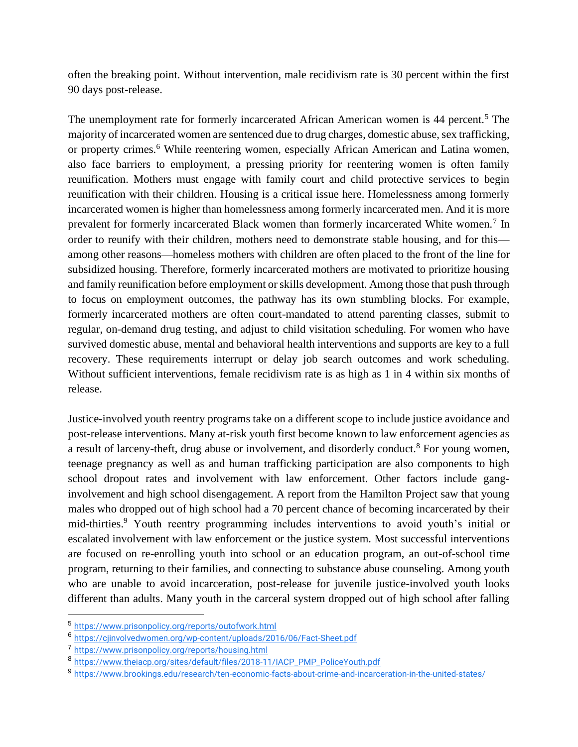often the breaking point. Without intervention, male recidivism rate is 30 percent within the first 90 days post-release.

The unemployment rate for formerly incarcerated African American women is 44 percent.<sup>5</sup> The majority of incarcerated women are sentenced due to drug charges, domestic abuse, sex trafficking, or property crimes.<sup>6</sup> While reentering women, especially African American and Latina women, also face barriers to employment, a pressing priority for reentering women is often family reunification. Mothers must engage with family court and child protective services to begin reunification with their children. Housing is a critical issue here. Homelessness among formerly incarcerated women is higher than homelessness among formerly incarcerated men. And it is more prevalent for formerly incarcerated Black women than formerly incarcerated White women.<sup>7</sup> In order to reunify with their children, mothers need to demonstrate stable housing, and for this among other reasons—homeless mothers with children are often placed to the front of the line for subsidized housing. Therefore, formerly incarcerated mothers are motivated to prioritize housing and family reunification before employment or skills development. Among those that push through to focus on employment outcomes, the pathway has its own stumbling blocks. For example, formerly incarcerated mothers are often court-mandated to attend parenting classes, submit to regular, on-demand drug testing, and adjust to child visitation scheduling. For women who have survived domestic abuse, mental and behavioral health interventions and supports are key to a full recovery. These requirements interrupt or delay job search outcomes and work scheduling. Without sufficient interventions, female recidivism rate is as high as 1 in 4 within six months of release.

Justice-involved youth reentry programs take on a different scope to include justice avoidance and post-release interventions. Many at-risk youth first become known to law enforcement agencies as a result of larceny-theft, drug abuse or involvement, and disorderly conduct.<sup>8</sup> For young women, teenage pregnancy as well as and human trafficking participation are also components to high school dropout rates and involvement with law enforcement. Other factors include ganginvolvement and high school disengagement. A report from the Hamilton Project saw that young males who dropped out of high school had a 70 percent chance of becoming incarcerated by their mid-thirties.<sup>9</sup> Youth reentry programming includes interventions to avoid youth's initial or escalated involvement with law enforcement or the justice system. Most successful interventions are focused on re-enrolling youth into school or an education program, an out-of-school time program, returning to their families, and connecting to substance abuse counseling. Among youth who are unable to avoid incarceration, post-release for juvenile justice-involved youth looks different than adults. Many youth in the carceral system dropped out of high school after falling

<sup>5</sup> <https://www.prisonpolicy.org/reports/outofwork.html>

<sup>6</sup> <https://cjinvolvedwomen.org/wp-content/uploads/2016/06/Fact-Sheet.pdf>

<sup>7</sup> <https://www.prisonpolicy.org/reports/housing.html>

<sup>8</sup> [https://www.theiacp.org/sites/default/files/2018-11/IACP\\_PMP\\_PoliceYouth.pdf](https://www.theiacp.org/sites/default/files/2018-11/IACP_PMP_PoliceYouth.pdf)

<sup>&</sup>lt;sup>9</sup> <https://www.brookings.edu/research/ten-economic-facts-about-crime-and-incarceration-in-the-united-states/>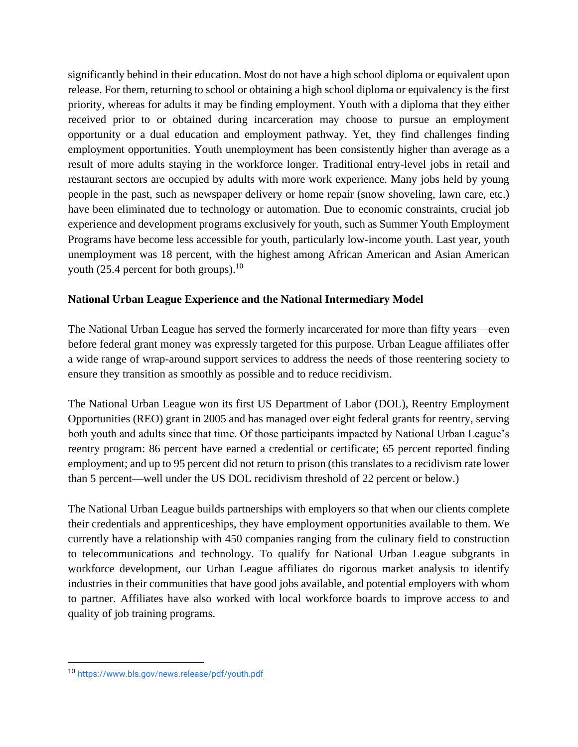significantly behind in their education. Most do not have a high school diploma or equivalent upon release. For them, returning to school or obtaining a high school diploma or equivalency is the first priority, whereas for adults it may be finding employment. Youth with a diploma that they either received prior to or obtained during incarceration may choose to pursue an employment opportunity or a dual education and employment pathway. Yet, they find challenges finding employment opportunities. Youth unemployment has been consistently higher than average as a result of more adults staying in the workforce longer. Traditional entry-level jobs in retail and restaurant sectors are occupied by adults with more work experience. Many jobs held by young people in the past, such as newspaper delivery or home repair (snow shoveling, lawn care, etc.) have been eliminated due to technology or automation. Due to economic constraints, crucial job experience and development programs exclusively for youth, such as Summer Youth Employment Programs have become less accessible for youth, particularly low-income youth. Last year, youth unemployment was 18 percent, with the highest among African American and Asian American youth (25.4 percent for both groups). $^{10}$ 

### **National Urban League Experience and the National Intermediary Model**

The National Urban League has served the formerly incarcerated for more than fifty years—even before federal grant money was expressly targeted for this purpose. Urban League affiliates offer a wide range of wrap-around support services to address the needs of those reentering society to ensure they transition as smoothly as possible and to reduce recidivism.

The National Urban League won its first US Department of Labor (DOL), Reentry Employment Opportunities (REO) grant in 2005 and has managed over eight federal grants for reentry, serving both youth and adults since that time. Of those participants impacted by National Urban League's reentry program: 86 percent have earned a credential or certificate; 65 percent reported finding employment; and up to 95 percent did not return to prison (this translates to a recidivism rate lower than 5 percent—well under the US DOL recidivism threshold of 22 percent or below.)

The National Urban League builds partnerships with employers so that when our clients complete their credentials and apprenticeships, they have employment opportunities available to them. We currently have a relationship with 450 companies ranging from the culinary field to construction to telecommunications and technology. To qualify for National Urban League subgrants in workforce development, our Urban League affiliates do rigorous market analysis to identify industries in their communities that have good jobs available, and potential employers with whom to partner. Affiliates have also worked with local workforce boards to improve access to and quality of job training programs.

<sup>10</sup> <https://www.bls.gov/news.release/pdf/youth.pdf>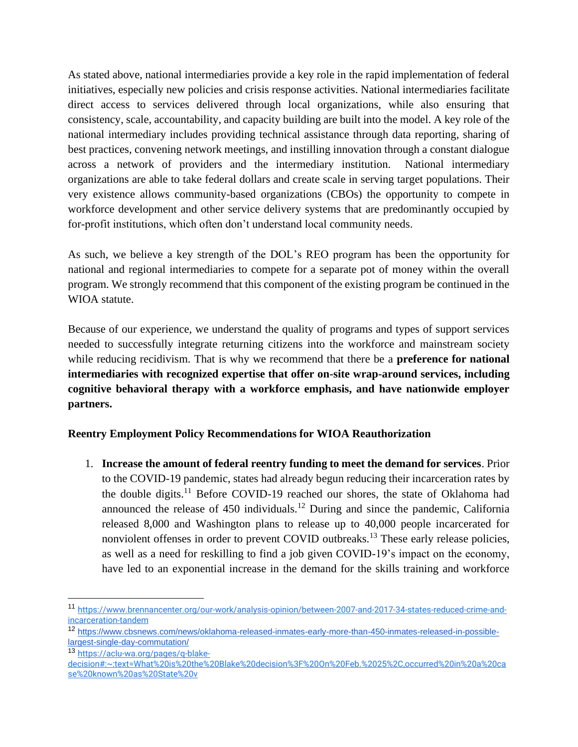As stated above, national intermediaries provide a key role in the rapid implementation of federal initiatives, especially new policies and crisis response activities. National intermediaries facilitate direct access to services delivered through local organizations, while also ensuring that consistency, scale, accountability, and capacity building are built into the model. A key role of the national intermediary includes providing technical assistance through data reporting, sharing of best practices, convening network meetings, and instilling innovation through a constant dialogue across a network of providers and the intermediary institution. National intermediary organizations are able to take federal dollars and create scale in serving target populations. Their very existence allows community-based organizations (CBOs) the opportunity to compete in workforce development and other service delivery systems that are predominantly occupied by for-profit institutions, which often don't understand local community needs.

As such, we believe a key strength of the DOL's REO program has been the opportunity for national and regional intermediaries to compete for a separate pot of money within the overall program. We strongly recommend that this component of the existing program be continued in the WIOA statute.

Because of our experience, we understand the quality of programs and types of support services needed to successfully integrate returning citizens into the workforce and mainstream society while reducing recidivism. That is why we recommend that there be a **preference for national intermediaries with recognized expertise that offer on-site wrap-around services, including cognitive behavioral therapy with a workforce emphasis, and have nationwide employer partners.** 

### **Reentry Employment Policy Recommendations for WIOA Reauthorization**

1. **Increase the amount of federal reentry funding to meet the demand for services**. Prior to the COVID-19 pandemic, states had already begun reducing their incarceration rates by the double digits.<sup>11</sup> Before COVID-19 reached our shores, the state of Oklahoma had announced the release of  $450$  individuals.<sup>12</sup> During and since the pandemic, California released 8,000 and Washington plans to release up to 40,000 people incarcerated for nonviolent offenses in order to prevent COVID outbreaks.<sup>13</sup> These early release policies, as well as a need for reskilling to find a job given COVID-19's impact on the economy, have led to an exponential increase in the demand for the skills training and workforce

<sup>11</sup> [https://www.brennancenter.org/our-work/analysis-opinion/between-2007-and-2017-34-states-reduced-crime-and](https://www.brennancenter.org/our-work/analysis-opinion/between-2007-and-2017-34-states-reduced-crime-and-incarceration-tandem)[incarceration-tandem](https://www.brennancenter.org/our-work/analysis-opinion/between-2007-and-2017-34-states-reduced-crime-and-incarceration-tandem)

<sup>12</sup> [https://www.cbsnews.com/news/oklahoma-released-inmates-early-more-than-450-inmates-released-in-possible](https://www.cbsnews.com/news/oklahoma-released-inmates-early-more-than-450-inmates-released-in-possible-largest-single-day-commutation/)[largest-single-day-commutation/](https://www.cbsnews.com/news/oklahoma-released-inmates-early-more-than-450-inmates-released-in-possible-largest-single-day-commutation/)

<sup>13</sup> [https://aclu-wa.org/pages/q-blake-](https://aclu-wa.org/pages/q-blake-decision#:~:text=What%20is%20the%20Blake%20decision%3F%20On%20Feb.%2025%2C,occurred%20in%20a%20case%20known%20as%20State%20v)

[decision#:~:text=What%20is%20the%20Blake%20decision%3F%20On%20Feb.%2025%2C,occurred%20in%20a%20ca](https://aclu-wa.org/pages/q-blake-decision#:~:text=What%20is%20the%20Blake%20decision%3F%20On%20Feb.%2025%2C,occurred%20in%20a%20case%20known%20as%20State%20v) [se%20known%20as%20State%20v](https://aclu-wa.org/pages/q-blake-decision#:~:text=What%20is%20the%20Blake%20decision%3F%20On%20Feb.%2025%2C,occurred%20in%20a%20case%20known%20as%20State%20v)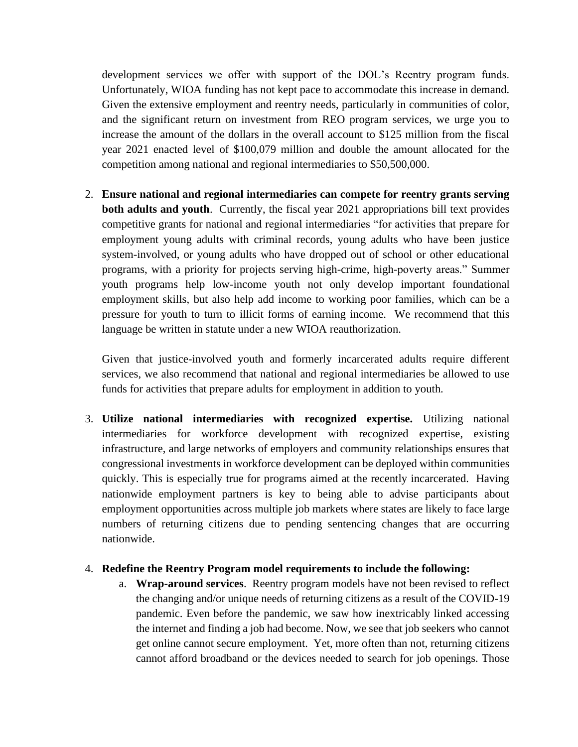development services we offer with support of the DOL's Reentry program funds. Unfortunately, WIOA funding has not kept pace to accommodate this increase in demand. Given the extensive employment and reentry needs, particularly in communities of color, and the significant return on investment from REO program services, we urge you to increase the amount of the dollars in the overall account to \$125 million from the fiscal year 2021 enacted level of \$100,079 million and double the amount allocated for the competition among national and regional intermediaries to \$50,500,000.

2. **Ensure national and regional intermediaries can compete for reentry grants serving both adults and youth**. Currently, the fiscal year 2021 appropriations bill text provides competitive grants for national and regional intermediaries "for activities that prepare for employment young adults with criminal records, young adults who have been justice system-involved, or young adults who have dropped out of school or other educational programs, with a priority for projects serving high-crime, high-poverty areas." Summer youth programs help low-income youth not only develop important foundational employment skills, but also help add income to working poor families, which can be a pressure for youth to turn to illicit forms of earning income. We recommend that this language be written in statute under a new WIOA reauthorization.

Given that justice-involved youth and formerly incarcerated adults require different services, we also recommend that national and regional intermediaries be allowed to use funds for activities that prepare adults for employment in addition to youth.

3. **Utilize national intermediaries with recognized expertise.** Utilizing national intermediaries for workforce development with recognized expertise, existing infrastructure, and large networks of employers and community relationships ensures that congressional investments in workforce development can be deployed within communities quickly. This is especially true for programs aimed at the recently incarcerated. Having nationwide employment partners is key to being able to advise participants about employment opportunities across multiple job markets where states are likely to face large numbers of returning citizens due to pending sentencing changes that are occurring nationwide.

#### 4. **Redefine the Reentry Program model requirements to include the following:**

a. **Wrap-around services**. Reentry program models have not been revised to reflect the changing and/or unique needs of returning citizens as a result of the COVID-19 pandemic. Even before the pandemic, we saw how inextricably linked accessing the internet and finding a job had become. Now, we see that job seekers who cannot get online cannot secure employment. Yet, more often than not, returning citizens cannot afford broadband or the devices needed to search for job openings. Those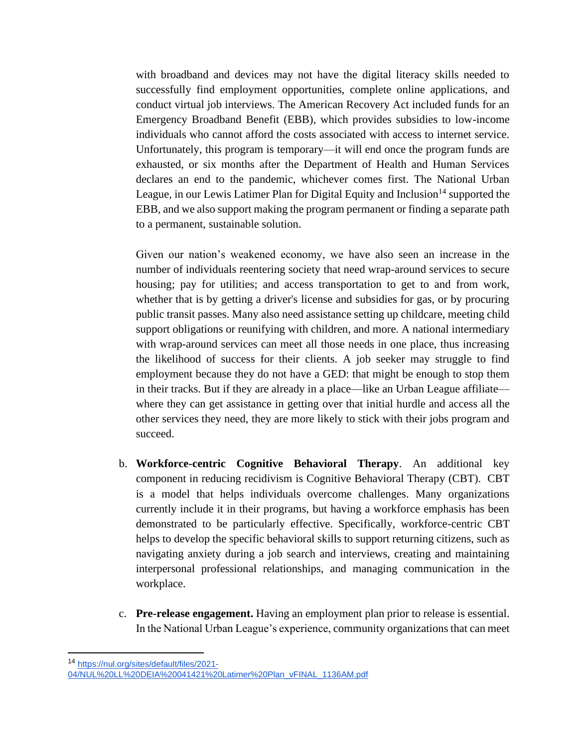with broadband and devices may not have the digital literacy skills needed to successfully find employment opportunities, complete online applications, and conduct virtual job interviews. The American Recovery Act included funds for an Emergency Broadband Benefit (EBB), which provides subsidies to low-income individuals who cannot afford the costs associated with access to internet service. Unfortunately, this program is temporary—it will end once the program funds are exhausted, or six months after the Department of Health and Human Services declares an end to the pandemic, whichever comes first. The National Urban League, in our Lewis Latimer Plan for Digital Equity and Inclusion<sup>14</sup> supported the EBB, and we also support making the program permanent or finding a separate path to a permanent, sustainable solution.

Given our nation's weakened economy, we have also seen an increase in the number of individuals reentering society that need wrap-around services to secure housing; pay for utilities; and access transportation to get to and from work, whether that is by getting a driver's license and subsidies for gas, or by procuring public transit passes. Many also need assistance setting up childcare, meeting child support obligations or reunifying with children, and more. A national intermediary with wrap-around services can meet all those needs in one place, thus increasing the likelihood of success for their clients. A job seeker may struggle to find employment because they do not have a GED: that might be enough to stop them in their tracks. But if they are already in a place—like an Urban League affiliate where they can get assistance in getting over that initial hurdle and access all the other services they need, they are more likely to stick with their jobs program and succeed.

- b. **Workforce-centric Cognitive Behavioral Therapy**. An additional key component in reducing recidivism is Cognitive Behavioral Therapy (CBT). CBT is a model that helps individuals overcome challenges. Many organizations currently include it in their programs, but having a workforce emphasis has been demonstrated to be particularly effective. Specifically, workforce-centric CBT helps to develop the specific behavioral skills to support returning citizens, such as navigating anxiety during a job search and interviews, creating and maintaining interpersonal professional relationships, and managing communication in the workplace.
- c. **Pre-release engagement.** Having an employment plan prior to release is essential. In the National Urban League's experience, community organizations that can meet

<sup>14</sup> [https://nul.org/sites/default/files/2021-](https://nul.org/sites/default/files/2021-04/NUL%20LL%20DEIA%20041421%20Latimer%20Plan_vFINAL_1136AM.pdf)

[<sup>04/</sup>NUL%20LL%20DEIA%20041421%20Latimer%20Plan\\_vFINAL\\_1136AM.pdf](https://nul.org/sites/default/files/2021-04/NUL%20LL%20DEIA%20041421%20Latimer%20Plan_vFINAL_1136AM.pdf)